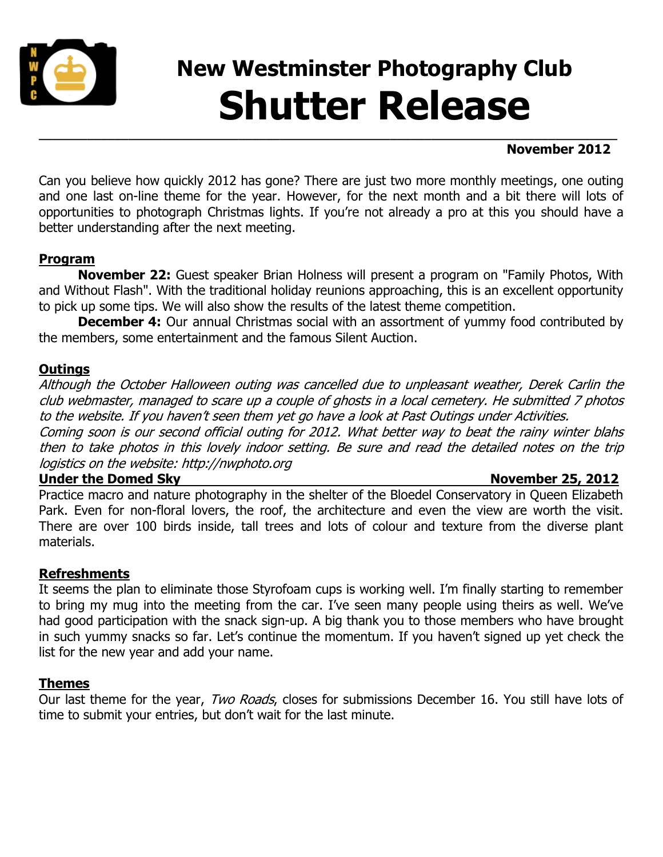

## **New Westminster Photography Club Shutter Release**

#### **November 2012**

Can you believe how quickly 2012 has gone? There are just two more monthly meetings, one outing and one last on-line theme for the year. However, for the next month and a bit there will lots of opportunities to photograph Christmas lights. If you're not already a pro at this you should have a better understanding after the next meeting.

**\_\_\_\_\_\_\_\_\_\_\_\_\_\_\_\_\_\_\_\_\_\_\_\_\_\_\_\_\_\_\_\_\_\_\_\_\_\_\_\_\_\_\_\_\_\_\_\_\_\_\_\_\_\_\_\_\_\_\_\_\_\_\_\_\_\_\_\_\_\_\_\_\_\_\_\_\_\_\_\_\_\_\_\_**

#### **Program**

**November 22:** Guest speaker Brian Holness will present a program on "Family Photos, With and Without Flash". With the traditional holiday reunions approaching, this is an excellent opportunity to pick up some tips. We will also show the results of the latest theme competition.

**December 4:** Our annual Christmas social with an assortment of yummy food contributed by the members, some entertainment and the famous Silent Auction.

#### **Outings**

Although the October Halloween outing was cancelled due to unpleasant weather, Derek Carlin the club webmaster, managed to scare up a couple of ghosts in a local cemetery. He submitted 7 photos to the website. If you haven't seen them yet go have a look at Past Outings under Activities.

Coming soon is our second official outing for 2012. What better way to beat the rainy winter blahs then to take photos in this lovely indoor setting. Be sure and read the detailed notes on the trip logistics on the website: http://nwphoto.org

#### **Under the Domed Sky** November 25, 2012

Practice macro and nature photography in the shelter of the Bloedel Conservatory in Queen Elizabeth Park. Even for non-floral lovers, the roof, the architecture and even the view are worth the visit. There are over 100 birds inside, tall trees and lots of colour and texture from the diverse plant materials.

#### **Refreshments**

It seems the plan to eliminate those Styrofoam cups is working well. I'm finally starting to remember to bring my mug into the meeting from the car. I've seen many people using theirs as well. We've had good participation with the snack sign-up. A big thank you to those members who have brought in such yummy snacks so far. Let's continue the momentum. If you haven't signed up yet check the list for the new year and add your name.

#### **Themes**

Our last theme for the year, Two Roads, closes for submissions December 16. You still have lots of time to submit your entries, but don't wait for the last minute.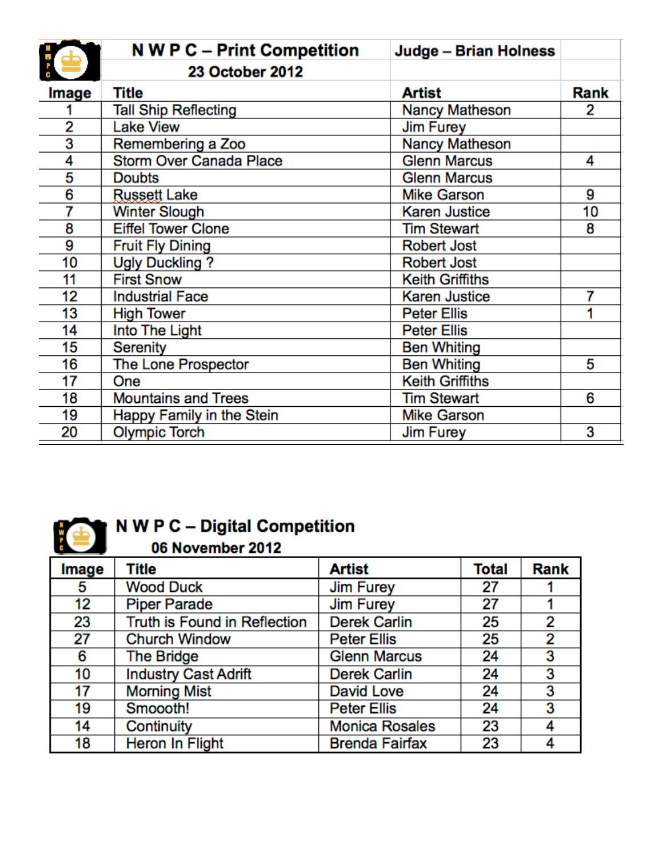|       | N W P C - Print Competition    | Judge - Brian Holness  |      |
|-------|--------------------------------|------------------------|------|
|       | <b>23 October 2012</b>         |                        |      |
| Image | Title                          | Artist                 | Rank |
|       | <b>Tall Ship Reflecting</b>    | Nancy Matheson         | 2    |
| 2     | <b>Lake View</b>               | <b>Jim Furey</b>       |      |
| 3     | Remembering a Zoo              | <b>Nancy Matheson</b>  |      |
| 4     | <b>Storm Over Canada Place</b> | <b>Glenn Marcus</b>    | 4    |
| 5     | <b>Doubts</b>                  | <b>Glenn Marcus</b>    |      |
| 6     | <b>Russett Lake</b>            | <b>Mike Garson</b>     | 9    |
| 7     | <b>Winter Slough</b>           | <b>Karen Justice</b>   | 10   |
| 8     | <b>Eiffel Tower Clone</b>      | <b>Tim Stewart</b>     | 8    |
| 9     | <b>Fruit Fly Dining</b>        | <b>Robert Jost</b>     |      |
| 10    | <b>Ugly Duckling?</b>          | <b>Robert Jost</b>     |      |
| 11    | <b>First Snow</b>              | <b>Keith Griffiths</b> |      |
| 12    | <b>Industrial Face</b>         | <b>Karen Justice</b>   | 7    |
| 13    | <b>High Tower</b>              | <b>Peter Ellis</b>     |      |
| 14    | Into The Light                 | <b>Peter Ellis</b>     |      |
| 15    | <b>Serenity</b>                | <b>Ben Whiting</b>     |      |
| 16    | The Lone Prospector            | <b>Ben Whiting</b>     | 5    |
| 17    | One                            | <b>Keith Griffiths</b> |      |
| 18    | <b>Mountains and Trees</b>     | <b>Tim Stewart</b>     | 6    |
| 19    | Happy Family in the Stein      | <b>Mike Garson</b>     |      |
| 20    | <b>Olympic Torch</b>           | <b>Jim Furey</b>       | 3    |



# N W P C - Digital Competition<br>06 November 2012

| Image | <b>Title</b>                 | <b>Artist</b>         | <b>Total</b> | <b>Rank</b> |
|-------|------------------------------|-----------------------|--------------|-------------|
| 5     | <b>Wood Duck</b>             | <b>Jim Furey</b>      | 27           |             |
| 12    | <b>Piper Parade</b>          | <b>Jim Furey</b>      | 27           |             |
| 23    | Truth is Found in Reflection | <b>Derek Carlin</b>   | 25           | 2           |
| 27    | <b>Church Window</b>         | <b>Peter Ellis</b>    | 25           | 2           |
| 6     | <b>The Bridge</b>            | <b>Glenn Marcus</b>   | 24           | 3           |
| 10    | <b>Industry Cast Adrift</b>  | <b>Derek Carlin</b>   | 24           | 3           |
| 17    | <b>Morning Mist</b>          | <b>David Love</b>     | 24           | 3           |
| 19    | Smoooth!                     | <b>Peter Ellis</b>    | 24           | 3           |
| 14    | Continuity                   | <b>Monica Rosales</b> | 23           |             |
| 18    | Heron In Flight              | <b>Brenda Fairfax</b> | 23           |             |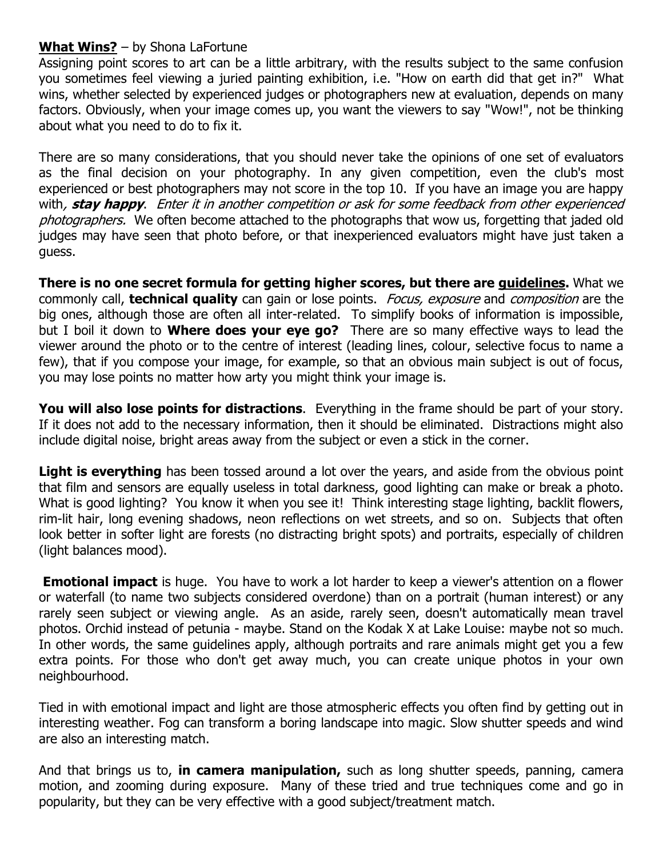#### **What Wins?** – by Shona LaFortune

Assigning point scores to art can be a little arbitrary, with the results subject to the same confusion you sometimes feel viewing a juried painting exhibition, i.e. "How on earth did that get in?" What wins, whether selected by experienced judges or photographers new at evaluation, depends on many factors. Obviously, when your image comes up, you want the viewers to say "Wow!", not be thinking about what you need to do to fix it.

There are so many considerations, that you should never take the opinions of one set of evaluators as the final decision on your photography. In any given competition, even the club's most experienced or best photographers may not score in the top 10. If you have an image you are happy with, **stay happy**. Enter it in another competition or ask for some feedback from other experienced photographers. We often become attached to the photographs that wow us, forgetting that jaded old judges may have seen that photo before, or that inexperienced evaluators might have just taken a guess.

**There is no one secret formula for getting higher scores, but there are guidelines.** What we commonly call, **technical quality** can gain or lose points. Focus, exposure and composition are the big ones, although those are often all inter-related. To simplify books of information is impossible, but I boil it down to **Where does your eye go?** There are so many effective ways to lead the viewer around the photo or to the centre of interest (leading lines, colour, selective focus to name a few), that if you compose your image, for example, so that an obvious main subject is out of focus, you may lose points no matter how arty you might think your image is.

**You will also lose points for distractions**. Everything in the frame should be part of your story. If it does not add to the necessary information, then it should be eliminated. Distractions might also include digital noise, bright areas away from the subject or even a stick in the corner.

Light is everything has been tossed around a lot over the years, and aside from the obvious point that film and sensors are equally useless in total darkness, good lighting can make or break a photo. What is good lighting? You know it when you see it! Think interesting stage lighting, backlit flowers, rim-lit hair, long evening shadows, neon reflections on wet streets, and so on. Subjects that often look better in softer light are forests (no distracting bright spots) and portraits, especially of children (light balances mood).

**Emotional impact** is huge. You have to work a lot harder to keep a viewer's attention on a flower or waterfall (to name two subjects considered overdone) than on a portrait (human interest) or any rarely seen subject or viewing angle. As an aside, rarely seen, doesn't automatically mean travel photos. Orchid instead of petunia - maybe. Stand on the Kodak X at Lake Louise: maybe not so much. In other words, the same guidelines apply, although portraits and rare animals might get you a few extra points. For those who don't get away much, you can create unique photos in your own neighbourhood.

Tied in with emotional impact and light are those atmospheric effects you often find by getting out in interesting weather. Fog can transform a boring landscape into magic. Slow shutter speeds and wind are also an interesting match.

And that brings us to, **in camera manipulation,** such as long shutter speeds, panning, camera motion, and zooming during exposure. Many of these tried and true techniques come and go in popularity, but they can be very effective with a good subject/treatment match.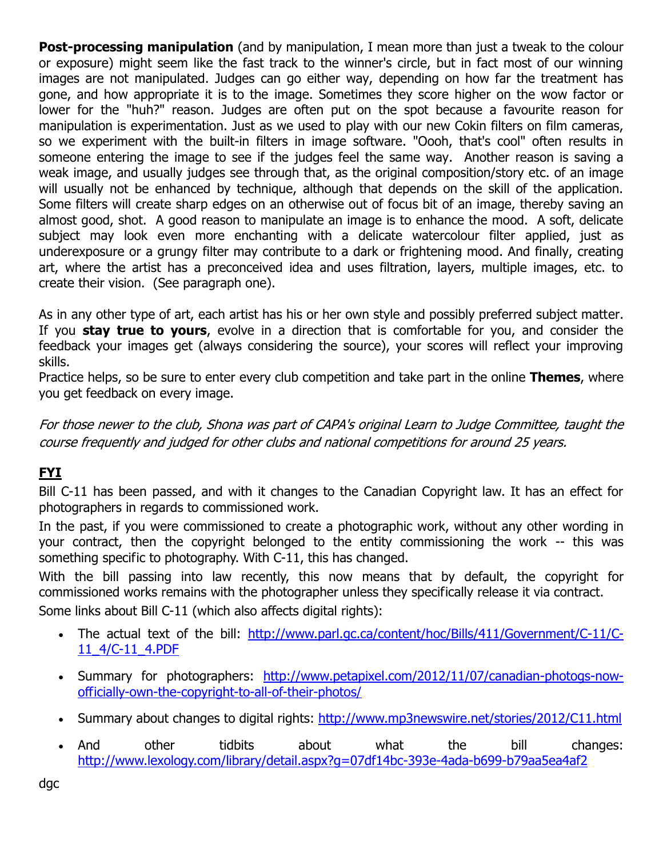**Post-processing manipulation** (and by manipulation, I mean more than just a tweak to the colour or exposure) might seem like the fast track to the winner's circle, but in fact most of our winning images are not manipulated. Judges can go either way, depending on how far the treatment has gone, and how appropriate it is to the image. Sometimes they score higher on the wow factor or lower for the "huh?" reason. Judges are often put on the spot because a favourite reason for manipulation is experimentation. Just as we used to play with our new Cokin filters on film cameras, so we experiment with the built-in filters in image software. "Oooh, that's cool" often results in someone entering the image to see if the judges feel the same way. Another reason is saving a weak image, and usually judges see through that, as the original composition/story etc. of an image will usually not be enhanced by technique, although that depends on the skill of the application. Some filters will create sharp edges on an otherwise out of focus bit of an image, thereby saving an almost good, shot. A good reason to manipulate an image is to enhance the mood. A soft, delicate subject may look even more enchanting with a delicate watercolour filter applied, just as underexposure or a grungy filter may contribute to a dark or frightening mood. And finally, creating art, where the artist has a preconceived idea and uses filtration, layers, multiple images, etc. to create their vision. (See paragraph one).

As in any other type of art, each artist has his or her own style and possibly preferred subject matter. If you **stay true to yours**, evolve in a direction that is comfortable for you, and consider the feedback your images get (always considering the source), your scores will reflect your improving skills.

Practice helps, so be sure to enter every club competition and take part in the online **Themes**, where you get feedback on every image.

For those newer to the club, Shona was part of CAPA's original Learn to Judge Committee, taught the course frequently and judged for other clubs and national competitions for around 25 years.

### **FYI**

Bill C-11 has been passed, and with it changes to the Canadian Copyright law. It has an effect for photographers in regards to commissioned work.

In the past, if you were commissioned to create a photographic work, without any other wording in your contract, then the copyright belonged to the entity commissioning the work -- this was something specific to photography. With C-11, this has changed.

With the bill passing into law recently, this now means that by default, the copyright for commissioned works remains with the photographer unless they specifically release it via contract.

Some links about Bill C-11 (which also affects digital rights):

- The actual text of the bill: [http://www.parl.gc.ca/content/hoc/Bills/411/Government/C-11/C-](http://www.parl.gc.ca/content/hoc/Bills/411/Government/C-11/C-11_4/C-11_4.PDF)[11\\_4/C-11\\_4.PDF](http://www.parl.gc.ca/content/hoc/Bills/411/Government/C-11/C-11_4/C-11_4.PDF)
- Summary for photographers: [http://www.petapixel.com/2012/11/07/canadian-photogs-now](http://www.petapixel.com/2012/11/07/canadian-photogs-now-officially-own-the-copyright-to-all-of-their-photos/summary)[officially-own-the-copyright-to-all-of-their-photos/](http://www.petapixel.com/2012/11/07/canadian-photogs-now-officially-own-the-copyright-to-all-of-their-photos/summary)
- Summary about changes to digital rights:<http://www.mp3newswire.net/stories/2012/C11.html>
- And other tidbits about what the bill changes: <http://www.lexology.com/library/detail.aspx?g=07df14bc-393e-4ada-b699-b79aa5ea4af2>

dgc